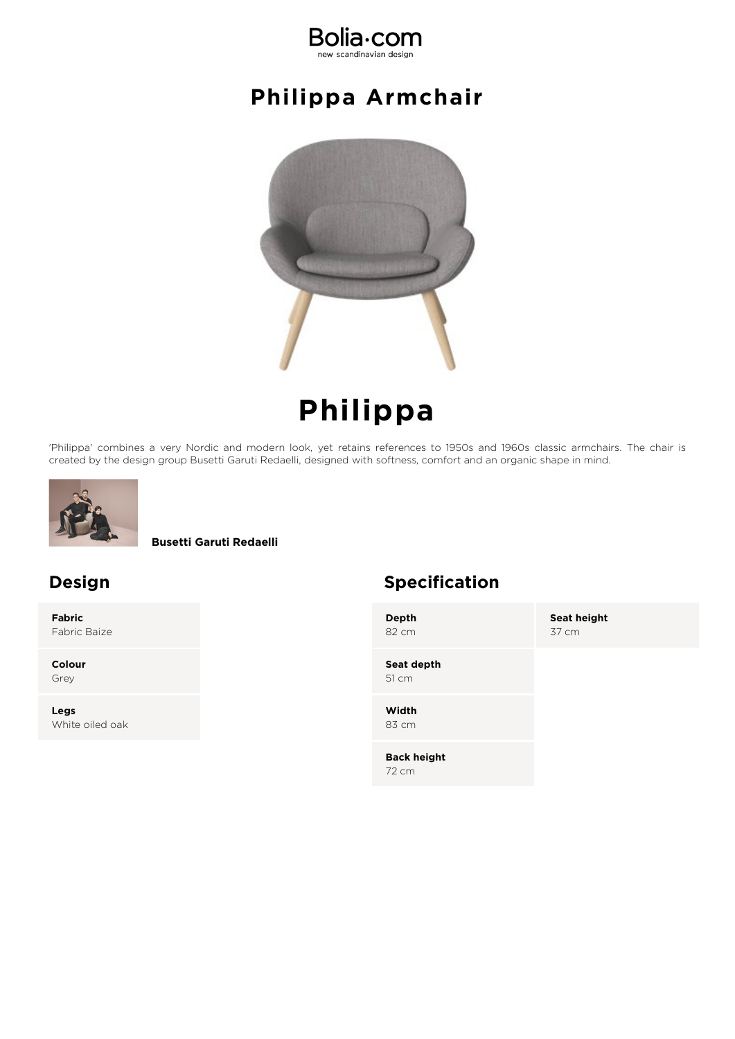

#### **Philippa Armchair**



# **Philippa**

'Philippa' combines a very Nordic and modern look, yet retains references to 1950s and 1960s classic armchairs. The chair is created by the design group Busetti Garuti Redaelli, designed with softness, comfort and an organic shape in mind.



**Busetti Garuti Redaelli**

**Fabric** Fabric Baize

**Colour** Grey

**Legs** White oiled oak

#### **Design Specification**

**Depth** 82 cm

**Seat height** 37 cm

**Seat depth** 51 cm

**Width** 83 cm

**Back height** 72 cm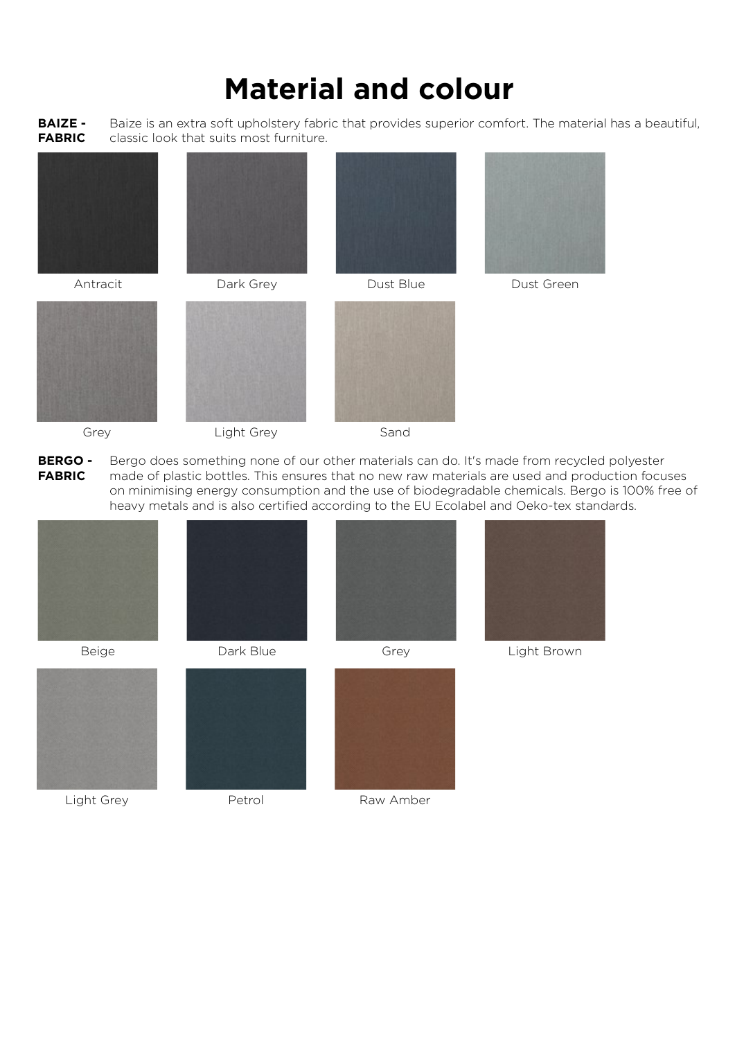**BAIZE - FABRIC** Baize is an extra soft upholstery fabric that provides superior comfort. The material has a beautiful, classic look that suits most furniture.













Grey Light Grey Sand



**BERGO - FABRIC** Bergo does something none of our other materials can do. It's made from recycled polyester made of plastic bottles. This ensures that no new raw materials are used and production focuses on minimising energy consumption and the use of biodegradable chemicals. Bergo is 100% free of heavy metals and is also certified according to the EU Ecolabel and Oeko-tex standards.















Light Grey **Petrol** Petrol Raw Amber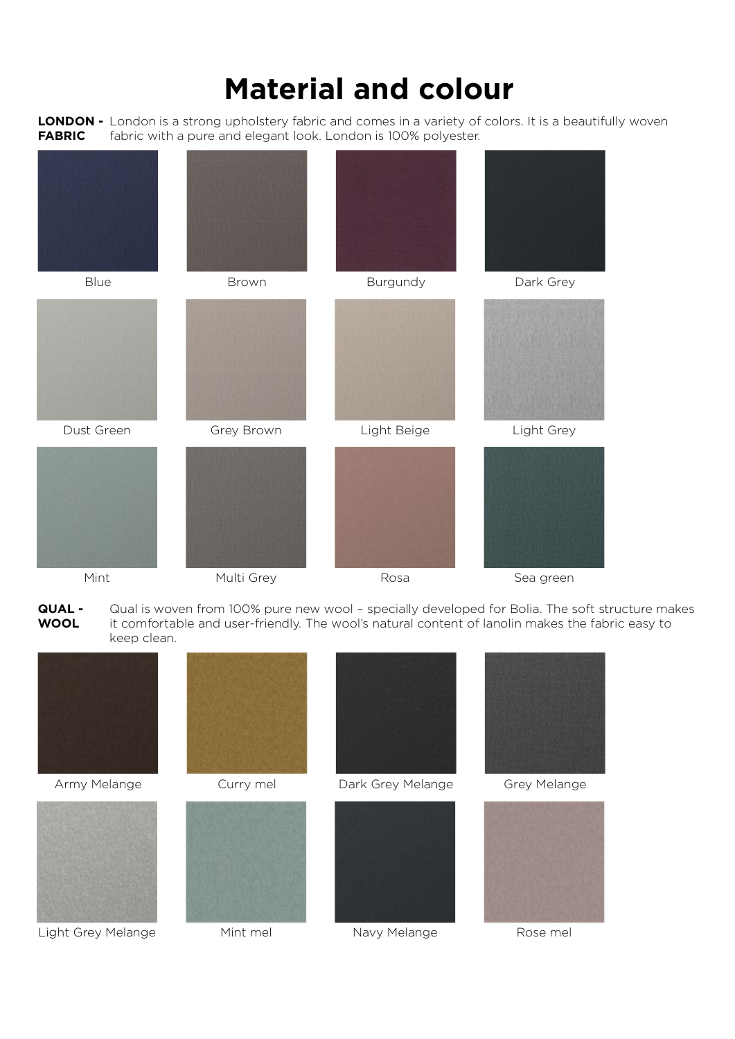**LONDON -** London is a strong upholstery fabric and comes in a variety of colors. It is a beautifully woven **FABRIC** fabric with a pure and elegant look. London is 100% polyester.



**QUAL - WOOL** Qual is woven from 100% pure new wool – specially developed for Bolia. The soft structure makes it comfortable and user-friendly. The wool's natural content of lanolin makes the fabric easy to keep clean.





Light Grey Melange Mint mel Navy Melange Rose mel









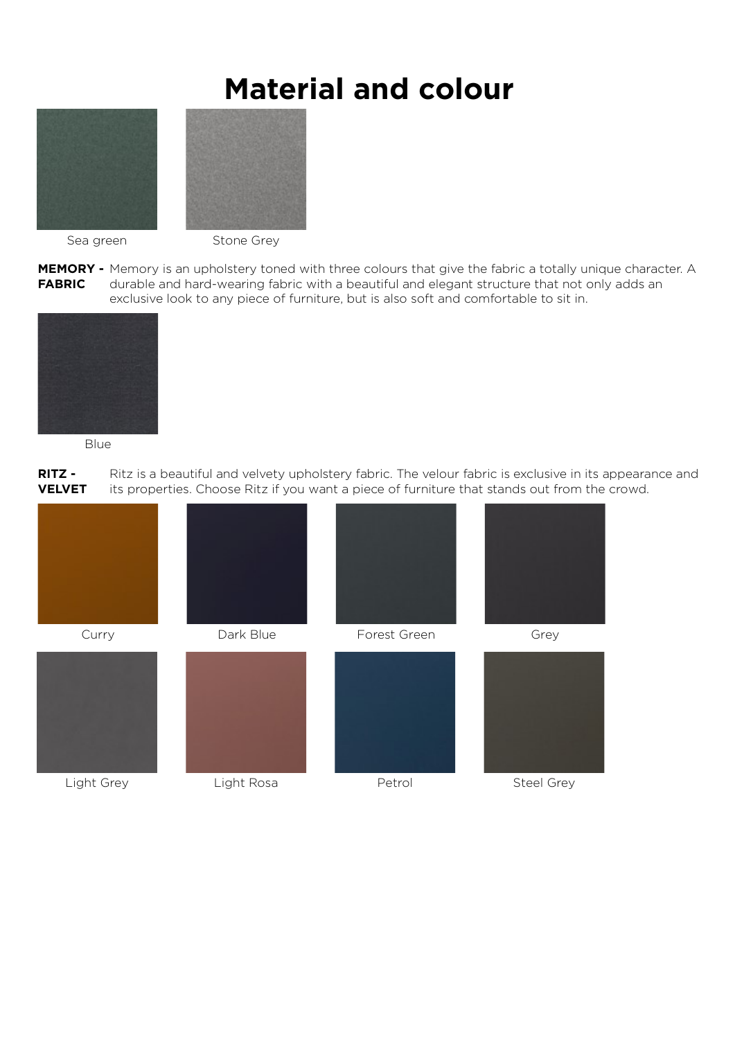



Sea green Stone Grey

**MEMORY -** Memory is an upholstery toned with three colours that give the fabric a totally unique character. A **FABRIC** durable and hard-wearing fabric with a beautiful and elegant structure that not only adds an exclusive look to any piece of furniture, but is also soft and comfortable to sit in.



Blue

**RITZ - VELVET** Ritz is a beautiful and velvety upholstery fabric. The velour fabric is exclusive in its appearance and its properties. Choose Ritz if you want a piece of furniture that stands out from the crowd.

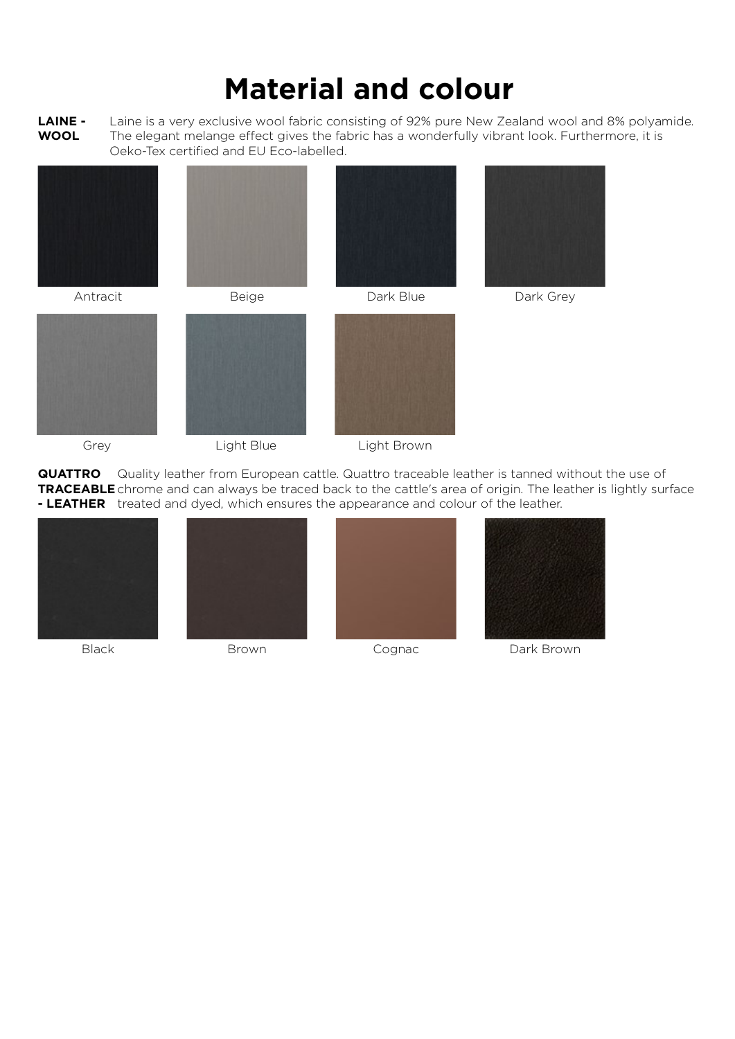**LAINE - WOOL** Laine is a very exclusive wool fabric consisting of 92% pure New Zealand wool and 8% polyamide. The elegant melange effect gives the fabric has a wonderfully vibrant look. Furthermore, it is Oeko-Tex certified and EU Eco-labelled.













**QUATTRO TRACEABLE** chrome and can always be traced back to the cattle's area of origin. The leather is lightly surface **- LEATHER** treated and dyed, which ensures the appearance and colour of the leather. Quality leather from European cattle. Quattro traceable leather is tanned without the use of









Black Brown Brown Cognac Dark Brown